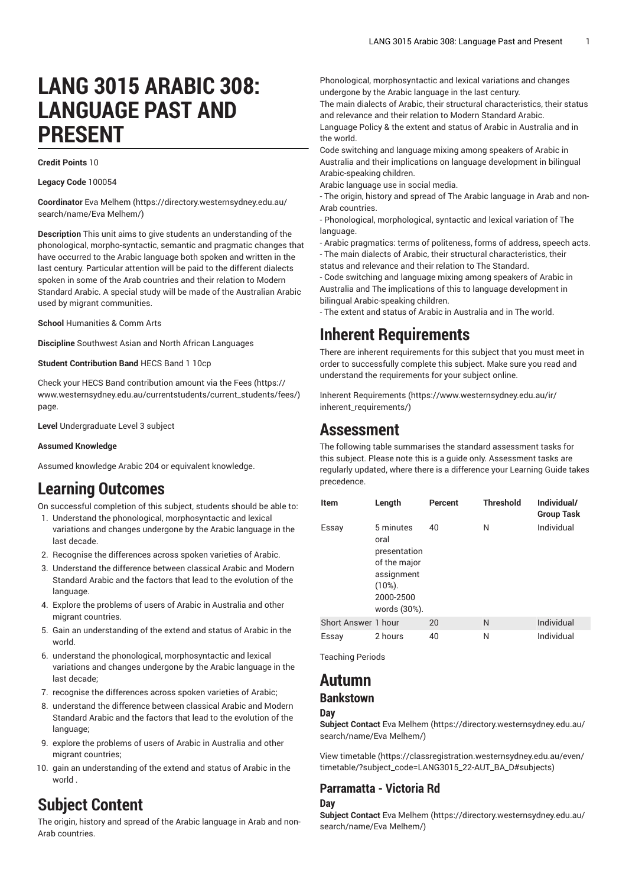# **LANG 3015 ARABIC 308: LANGUAGE PAST AND PRESENT**

#### **Credit Points** 10

**Legacy Code** 100054

**Coordinator** Eva [Melhem](https://directory.westernsydney.edu.au/search/name/Eva Melhem/) [\(https://directory.westernsydney.edu.au/](https://directory.westernsydney.edu.au/search/name/Eva Melhem/) [search/name/Eva](https://directory.westernsydney.edu.au/search/name/Eva Melhem/) Melhem/)

**Description** This unit aims to give students an understanding of the phonological, morpho-syntactic, semantic and pragmatic changes that have occurred to the Arabic language both spoken and written in the last century. Particular attention will be paid to the different dialects spoken in some of the Arab countries and their relation to Modern Standard Arabic. A special study will be made of the Australian Arabic used by migrant communities.

**School** Humanities & Comm Arts

**Discipline** Southwest Asian and North African Languages

**Student Contribution Band** HECS Band 1 10cp

Check your HECS Band contribution amount via the [Fees \(https://](https://www.westernsydney.edu.au/currentstudents/current_students/fees/) [www.westernsydney.edu.au/currentstudents/current\\_students/fees/\)](https://www.westernsydney.edu.au/currentstudents/current_students/fees/) page.

**Level** Undergraduate Level 3 subject

#### **Assumed Knowledge**

Assumed knowledge Arabic 204 or equivalent knowledge.

## **Learning Outcomes**

On successful completion of this subject, students should be able to:

- 1. Understand the phonological, morphosyntactic and lexical variations and changes undergone by the Arabic language in the last decade.
- 2. Recognise the differences across spoken varieties of Arabic.
- 3. Understand the difference between classical Arabic and Modern Standard Arabic and the factors that lead to the evolution of the language.
- 4. Explore the problems of users of Arabic in Australia and other migrant countries.
- 5. Gain an understanding of the extend and status of Arabic in the world.
- 6. understand the phonological, morphosyntactic and lexical variations and changes undergone by the Arabic language in the last decade;
- 7. recognise the differences across spoken varieties of Arabic;
- 8. understand the difference between classical Arabic and Modern Standard Arabic and the factors that lead to the evolution of the language;
- 9. explore the problems of users of Arabic in Australia and other migrant countries;
- 10. gain an understanding of the extend and status of Arabic in the world .

# **Subject Content**

The origin, history and spread of the Arabic language in Arab and non-Arab countries.

Phonological, morphosyntactic and lexical variations and changes undergone by the Arabic language in the last century.

The main dialects of Arabic, their structural characteristics, their status and relevance and their relation to Modern Standard Arabic.

Language Policy & the extent and status of Arabic in Australia and in the world.

Code switching and language mixing among speakers of Arabic in Australia and their implications on language development in bilingual Arabic-speaking children.

Arabic language use in social media.

- The origin, history and spread of The Arabic language in Arab and non-Arab countries.

- Phonological, morphological, syntactic and lexical variation of The language

- Arabic pragmatics: terms of politeness, forms of address, speech acts. - The main dialects of Arabic, their structural characteristics, their

status and relevance and their relation to The Standard.

- Code switching and language mixing among speakers of Arabic in Australia and The implications of this to language development in bilingual Arabic-speaking children.

- The extent and status of Arabic in Australia and in The world.

### **Inherent Requirements**

There are inherent requirements for this subject that you must meet in order to successfully complete this subject. Make sure you read and understand the requirements for your subject online.

Inherent [Requirements](https://www.westernsydney.edu.au/ir/inherent_requirements/) ([https://www.westernsydney.edu.au/ir/](https://www.westernsydney.edu.au/ir/inherent_requirements/) [inherent\\_requirements/](https://www.westernsydney.edu.au/ir/inherent_requirements/))

### **Assessment**

The following table summarises the standard assessment tasks for this subject. Please note this is a guide only. Assessment tasks are regularly updated, where there is a difference your Learning Guide takes precedence.

| <b>Item</b>         | Length                                                                                                     | Percent | <b>Threshold</b> | Individual/<br><b>Group Task</b> |
|---------------------|------------------------------------------------------------------------------------------------------------|---------|------------------|----------------------------------|
| Essay               | 5 minutes<br>oral<br>presentation<br>of the major<br>assignment<br>$(10\%)$ .<br>2000-2500<br>words (30%). | 40      | N                | Individual                       |
| Short Answer 1 hour |                                                                                                            | 20      | N                | Individual                       |
| Essay               | 2 hours                                                                                                    | 40      | N                | Individual                       |

Teaching Periods

### **Autumn**

### **Bankstown**

#### **Day**

**Subject Contact** Eva [Melhem \(https://directory.westernsydney.edu.au/](https://directory.westernsydney.edu.au/search/name/Eva Melhem/) [search/name/Eva](https://directory.westernsydney.edu.au/search/name/Eva Melhem/) Melhem/)

[View timetable](https://classregistration.westernsydney.edu.au/even/timetable/?subject_code=LANG3015_22-AUT_BA_D#subjects) [\(https://classregistration.westernsydney.edu.au/even/](https://classregistration.westernsydney.edu.au/even/timetable/?subject_code=LANG3015_22-AUT_BA_D#subjects) [timetable/?subject\\_code=LANG3015\\_22-AUT\\_BA\\_D#subjects\)](https://classregistration.westernsydney.edu.au/even/timetable/?subject_code=LANG3015_22-AUT_BA_D#subjects)

#### **Parramatta - Victoria Rd**

#### **Day**

**Subject Contact** Eva [Melhem \(https://directory.westernsydney.edu.au/](https://directory.westernsydney.edu.au/search/name/Eva Melhem/) [search/name/Eva](https://directory.westernsydney.edu.au/search/name/Eva Melhem/) Melhem/)